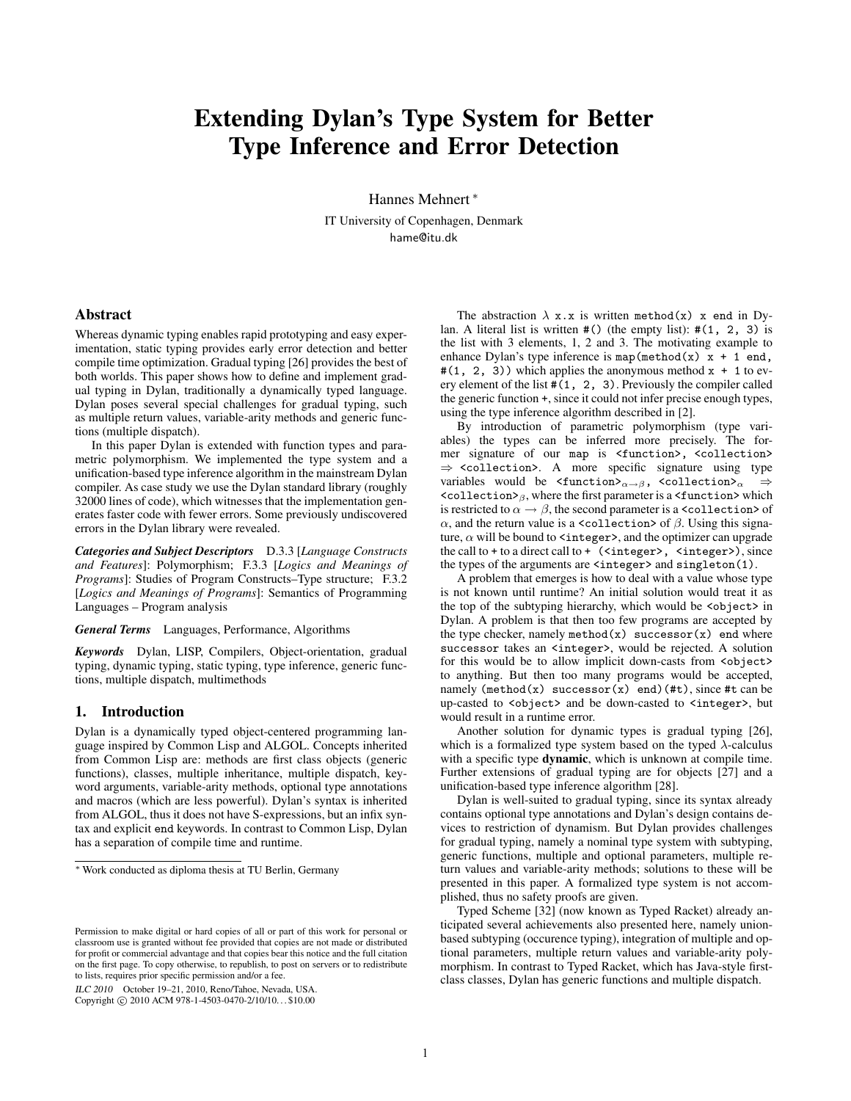# Extending Dylan's Type System for Better Type Inference and Error Detection

Hannes Mehnert <sup>∗</sup>

IT University of Copenhagen, Denmark hame@itu.dk

# Abstract

Whereas dynamic typing enables rapid prototyping and easy experimentation, static typing provides early error detection and better compile time optimization. Gradual typing [26] provides the best of both worlds. This paper shows how to define and implement gradual typing in Dylan, traditionally a dynamically typed language. Dylan poses several special challenges for gradual typing, such as multiple return values, variable-arity methods and generic functions (multiple dispatch).

In this paper Dylan is extended with function types and parametric polymorphism. We implemented the type system and a unification-based type inference algorithm in the mainstream Dylan compiler. As case study we use the Dylan standard library (roughly 32000 lines of code), which witnesses that the implementation generates faster code with fewer errors. Some previously undiscovered errors in the Dylan library were revealed.

*Categories and Subject Descriptors* D.3.3 [*Language Constructs and Features*]: Polymorphism; F.3.3 [*Logics and Meanings of Programs*]: Studies of Program Constructs–Type structure; F.3.2 [*Logics and Meanings of Programs*]: Semantics of Programming Languages – Program analysis

*General Terms* Languages, Performance, Algorithms

*Keywords* Dylan, LISP, Compilers, Object-orientation, gradual typing, dynamic typing, static typing, type inference, generic functions, multiple dispatch, multimethods

# 1. Introduction

Dylan is a dynamically typed object-centered programming language inspired by Common Lisp and ALGOL. Concepts inherited from Common Lisp are: methods are first class objects (generic functions), classes, multiple inheritance, multiple dispatch, keyword arguments, variable-arity methods, optional type annotations and macros (which are less powerful). Dylan's syntax is inherited from ALGOL, thus it does not have S-expressions, but an infix syntax and explicit end keywords. In contrast to Common Lisp, Dylan has a separation of compile time and runtime.

ILC 2010 October 19–21, 2010, Reno/Tahoe, Nevada, USA.

Copyright © 2010 ACM 978-1-4503-0470-2/10/10... \$10.00

The abstraction  $\lambda$  x.x is written method(x) x end in Dylan. A literal list is written #() (the empty list): #(1, 2, 3) is the list with 3 elements, 1, 2 and 3. The motivating example to enhance Dylan's type inference is map (method(x)  $x + 1$  end,  $\#(1, 2, 3)$  which applies the anonymous method  $x + 1$  to every element of the list #(1, 2, 3). Previously the compiler called the generic function +, since it could not infer precise enough types, using the type inference algorithm described in [2].

By introduction of parametric polymorphism (type variables) the types can be inferred more precisely. The former signature of our map is <function>, <collection> ⇒ <collection>. A more specific signature using type variables would be  $\langle$ function><sub>α→β</sub>,  $\langle$ collection><sub>α</sub>  $\le$ collection> $\beta$ , where the first parameter is a  $\le$ function> which is restricted to  $\alpha \rightarrow \beta$ , the second parameter is a <collection> of α, and the return value is a  $\le$ collection> of  $\beta$ . Using this signature,  $\alpha$  will be bound to <integer>, and the optimizer can upgrade the call to + to a direct call to + (<integer>, <integer>), since the types of the arguments are  $\langle$ integer> and singleton(1).

A problem that emerges is how to deal with a value whose type is not known until runtime? An initial solution would treat it as the top of the subtyping hierarchy, which would be  $\leq$ object> in Dylan. A problem is that then too few programs are accepted by the type checker, namely method $(x)$  successor $(x)$  end where successor takes an <integer>, would be rejected. A solution for this would be to allow implicit down-casts from <object> to anything. But then too many programs would be accepted, namely  $(method(x)$  successor $(x)$  end) $(\#t)$ , since #t can be up-casted to <object> and be down-casted to <integer>, but would result in a runtime error.

Another solution for dynamic types is gradual typing [26], which is a formalized type system based on the typed  $\lambda$ -calculus with a specific type **dynamic**, which is unknown at compile time. Further extensions of gradual typing are for objects [27] and a unification-based type inference algorithm [28].

Dylan is well-suited to gradual typing, since its syntax already contains optional type annotations and Dylan's design contains devices to restriction of dynamism. But Dylan provides challenges for gradual typing, namely a nominal type system with subtyping, generic functions, multiple and optional parameters, multiple return values and variable-arity methods; solutions to these will be presented in this paper. A formalized type system is not accomplished, thus no safety proofs are given.

Typed Scheme [32] (now known as Typed Racket) already anticipated several achievements also presented here, namely unionbased subtyping (occurence typing), integration of multiple and optional parameters, multiple return values and variable-arity polymorphism. In contrast to Typed Racket, which has Java-style firstclass classes, Dylan has generic functions and multiple dispatch.

<sup>∗</sup> Work conducted as diploma thesis at TU Berlin, Germany

Permission to make digital or hard copies of all or part of this work for personal or classroom use is granted without fee provided that copies are not made or distributed for profit or commercial advantage and that copies bear this notice and the full citation on the first page. To copy otherwise, to republish, to post on servers or to redistribute to lists, requires prior specific permission and/or a fee.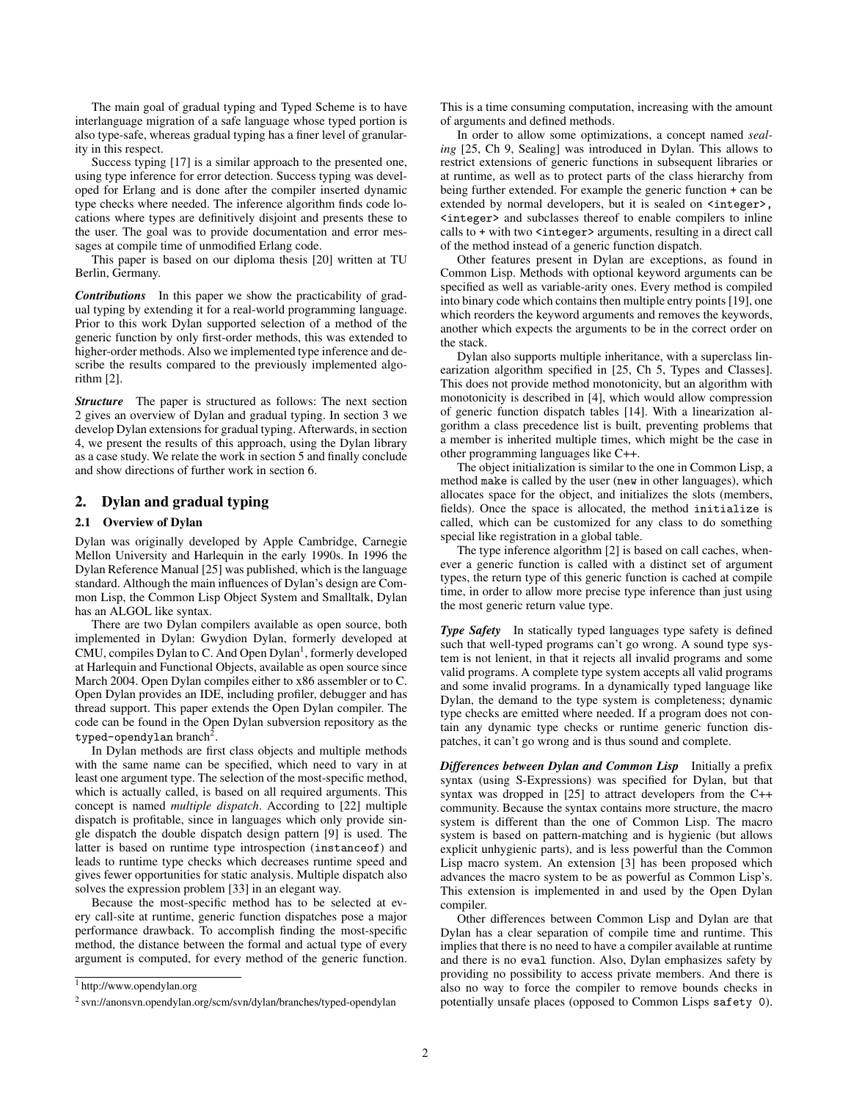The main goal of gradual typing and Typed Scheme is to have interlanguage migration of a safe language whose typed portion is also type-safe, whereas gradual typing has a finer level of granularity in this respect.

Success typing [17] is a similar approach to the presented one, using type inference for error detection. Success typing was developed for Erlang and is done after the compiler inserted dynamic type checks where needed. The inference algorithm finds code locations where types are definitively disjoint and presents these to the user. The goal was to provide documentation and error messages at compile time of unmodified Erlang code.

This paper is based on our diploma thesis [20] written at TU Berlin, Germany.

*Contributions* In this paper we show the practicability of gradual typing by extending it for a real-world programming language. Prior to this work Dylan supported selection of a method of the generic function by only first-order methods, this was extended to higher-order methods. Also we implemented type inference and describe the results compared to the previously implemented algorithm [2].

*Structure* The paper is structured as follows: The next section 2 gives an overview of Dylan and gradual typing. In section 3 we develop Dylan extensions for gradual typing. Afterwards, in section 4, we present the results of this approach, using the Dylan library as a case study. We relate the work in section 5 and finally conclude and show directions of further work in section 6.

# 2. Dylan and gradual typing

# 2.1 Overview of Dylan

Dylan was originally developed by Apple Cambridge, Carnegie Mellon University and Harlequin in the early 1990s. In 1996 the Dylan Reference Manual [25] was published, which is the language standard. Although the main influences of Dylan's design are Common Lisp, the Common Lisp Object System and Smalltalk, Dylan has an ALGOL like syntax.

There are two Dylan compilers available as open source, both implemented in Dylan: Gwydion Dylan, formerly developed at CMU, compiles Dylan to C. And Open Dylan<sup>1</sup>, formerly developed at Harlequin and Functional Objects, available as open source since March 2004. Open Dylan compiles either to x86 assembler or to C. Open Dylan provides an IDE, including profiler, debugger and has thread support. This paper extends the Open Dylan compiler. The code can be found in the Open Dylan subversion repository as the typed-opendylan branch $^2$ .

In Dylan methods are first class objects and multiple methods with the same name can be specified, which need to vary in at least one argument type. The selection of the most-specific method, which is actually called, is based on all required arguments. This concept is named *multiple dispatch*. According to [22] multiple dispatch is profitable, since in languages which only provide single dispatch the double dispatch design pattern [9] is used. The latter is based on runtime type introspection (instanceof) and leads to runtime type checks which decreases runtime speed and gives fewer opportunities for static analysis. Multiple dispatch also solves the expression problem [33] in an elegant way.

Because the most-specific method has to be selected at every call-site at runtime, generic function dispatches pose a major performance drawback. To accomplish finding the most-specific method, the distance between the formal and actual type of every argument is computed, for every method of the generic function. This is a time consuming computation, increasing with the amount of arguments and defined methods.

In order to allow some optimizations, a concept named *sealing* [25, Ch 9, Sealing] was introduced in Dylan. This allows to restrict extensions of generic functions in subsequent libraries or at runtime, as well as to protect parts of the class hierarchy from being further extended. For example the generic function + can be extended by normal developers, but it is sealed on  $\langle$  integer>, <integer> and subclasses thereof to enable compilers to inline calls to + with two <integer> arguments, resulting in a direct call of the method instead of a generic function dispatch.

Other features present in Dylan are exceptions, as found in Common Lisp. Methods with optional keyword arguments can be specified as well as variable-arity ones. Every method is compiled into binary code which contains then multiple entry points [19], one which reorders the keyword arguments and removes the keywords, another which expects the arguments to be in the correct order on the stack.

Dylan also supports multiple inheritance, with a superclass linearization algorithm specified in [25, Ch 5, Types and Classes]. This does not provide method monotonicity, but an algorithm with monotonicity is described in [4], which would allow compression of generic function dispatch tables [14]. With a linearization algorithm a class precedence list is built, preventing problems that a member is inherited multiple times, which might be the case in other programming languages like C++.

The object initialization is similar to the one in Common Lisp, a method make is called by the user (new in other languages), which allocates space for the object, and initializes the slots (members, fields). Once the space is allocated, the method initialize is called, which can be customized for any class to do something special like registration in a global table.

The type inference algorithm [2] is based on call caches, whenever a generic function is called with a distinct set of argument types, the return type of this generic function is cached at compile time, in order to allow more precise type inference than just using the most generic return value type.

*Type Safety* In statically typed languages type safety is defined such that well-typed programs can't go wrong. A sound type system is not lenient, in that it rejects all invalid programs and some valid programs. A complete type system accepts all valid programs and some invalid programs. In a dynamically typed language like Dylan, the demand to the type system is completeness; dynamic type checks are emitted where needed. If a program does not contain any dynamic type checks or runtime generic function dispatches, it can't go wrong and is thus sound and complete.

*Differences between Dylan and Common Lisp* Initially a prefix syntax (using S-Expressions) was specified for Dylan, but that syntax was dropped in [25] to attract developers from the C++ community. Because the syntax contains more structure, the macro system is different than the one of Common Lisp. The macro system is based on pattern-matching and is hygienic (but allows explicit unhygienic parts), and is less powerful than the Common Lisp macro system. An extension [3] has been proposed which advances the macro system to be as powerful as Common Lisp's. This extension is implemented in and used by the Open Dylan compiler.

Other differences between Common Lisp and Dylan are that Dylan has a clear separation of compile time and runtime. This implies that there is no need to have a compiler available at runtime and there is no eval function. Also, Dylan emphasizes safety by providing no possibility to access private members. And there is also no way to force the compiler to remove bounds checks in potentially unsafe places (opposed to Common Lisps safety 0).

<sup>1</sup> http://www.opendylan.org

<sup>2</sup> svn://anonsvn.opendylan.org/scm/svn/dylan/branches/typed-opendylan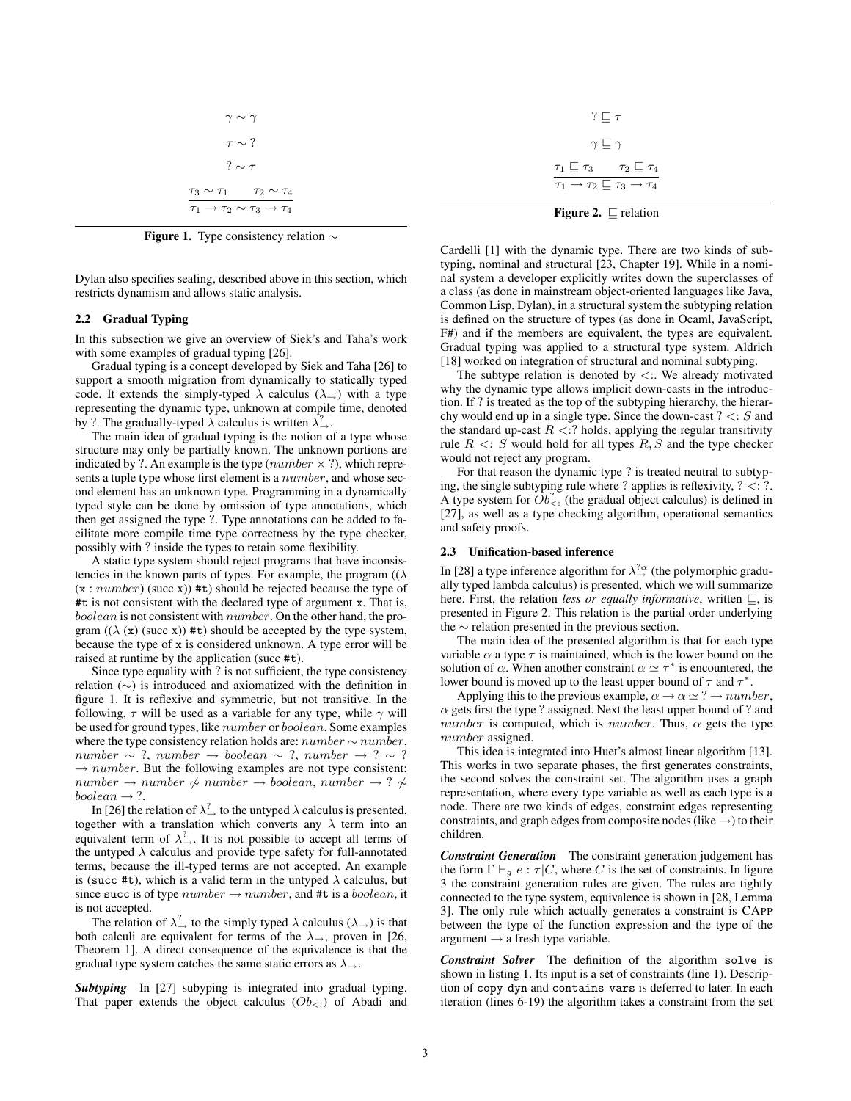| $\gamma \sim \gamma$                                       |  |
|------------------------------------------------------------|--|
| $\tau \sim ?$                                              |  |
| $? \sim \tau$                                              |  |
| $\tau_2 \sim \tau_4$<br>$\tau_3 \sim \tau_1$               |  |
| $\tau_1 \rightarrow \tau_2 \sim \tau_3 \rightarrow \tau_4$ |  |

**Figure 1.** Type consistency relation  $\sim$ 

Dylan also specifies sealing, described above in this section, which restricts dynamism and allows static analysis.

# 2.2 Gradual Typing

In this subsection we give an overview of Siek's and Taha's work with some examples of gradual typing [26].

Gradual typing is a concept developed by Siek and Taha [26] to support a smooth migration from dynamically to statically typed code. It extends the simply-typed  $\lambda$  calculus  $(\lambda)$  with a type representing the dynamic type, unknown at compile time, denoted by ?. The gradually-typed  $\lambda$  calculus is written  $\lambda^?$ ...

The main idea of gradual typing is the notion of a type whose structure may only be partially known. The unknown portions are indicated by ?. An example is the type ( $number \times$  ?), which represents a tuple type whose first element is a number, and whose second element has an unknown type. Programming in a dynamically typed style can be done by omission of type annotations, which then get assigned the type ?. Type annotations can be added to facilitate more compile time type correctness by the type checker, possibly with ? inside the types to retain some flexibility.

A static type system should reject programs that have inconsistencies in the known parts of types. For example, the program ( $(\lambda)$  $(x : number)$  (succ x)) #t) should be rejected because the type of #t is not consistent with the declared type of argument x. That is, boolean is not consistent with number. On the other hand, the program  $((\lambda(x)$  (succ x)) #t) should be accepted by the type system, because the type of x is considered unknown. A type error will be raised at runtime by the application (succ #t).

Since type equality with ? is not sufficient, the type consistency relation (∼) is introduced and axiomatized with the definition in figure 1. It is reflexive and symmetric, but not transitive. In the following,  $\tau$  will be used as a variable for any type, while  $\gamma$  will be used for ground types, like number or boolean. Some examples where the type consistency relation holds are:  $number \sim number$ , number ∼ ?, number → boolean ∼ ?, number → ? ∼ ?  $\rightarrow$  *number*. But the following examples are not type consistent: number → number  $\sim$  number → boolean, number → ?  $\sim$ boolean  $\rightarrow$  ?.

In [26] the relation of  $\lambda^2$ , to the untyped  $\lambda$  calculus is presented, together with a translation which converts any  $\lambda$  term into an equivalent term of  $\lambda^2$ . It is not possible to accept all terms of the untyped  $\lambda$  calculus and provide type safety for full-annotated terms, because the ill-typed terms are not accepted. An example is (succ #t), which is a valid term in the untyped  $\lambda$  calculus, but since succ is of type  $number \rightarrow number$ , and #t is a boolean, it is not accepted.

The relation of  $\lambda^2$ , to the simply typed  $\lambda$  calculus  $(\lambda)$  is that both calculi are equivalent for terms of the  $\lambda \rightarrow$ , proven in [26, Theorem 1]. A direct consequence of the equivalence is that the gradual type system catches the same static errors as  $\lambda_{\rightarrow}$ .

**Subtyping** In [27] subyping is integrated into gradual typing. That paper extends the object calculus  $(Ob_{\leq})$  of Abadi and

| $? \sqsubseteq \tau$                                              |  |
|-------------------------------------------------------------------|--|
| $\gamma \sqsubseteq \gamma$                                       |  |
| $\tau_1 \sqsubset \tau_3$ $\tau_2 \sqsubset \tau_4$               |  |
| $\tau_1 \rightarrow \tau_2 \sqsubseteq \tau_3 \rightarrow \tau_4$ |  |

# Figure 2.  $\Box$  relation

Cardelli [1] with the dynamic type. There are two kinds of subtyping, nominal and structural [23, Chapter 19]. While in a nominal system a developer explicitly writes down the superclasses of a class (as done in mainstream object-oriented languages like Java, Common Lisp, Dylan), in a structural system the subtyping relation is defined on the structure of types (as done in Ocaml, JavaScript, F#) and if the members are equivalent, the types are equivalent. Gradual typing was applied to a structural type system. Aldrich [18] worked on integration of structural and nominal subtyping.

The subtype relation is denoted by  $\lt$ :. We already motivated why the dynamic type allows implicit down-casts in the introduction. If ? is treated as the top of the subtyping hierarchy, the hierarchy would end up in a single type. Since the down-cast  $? \lt: S$  and the standard up-cast  $R \lt$ :? holds, applying the regular transitivity rule  $R \leq S$  would hold for all types  $R, S$  and the type checker would not reject any program.

For that reason the dynamic type ? is treated neutral to subtyping, the single subtyping rule where ? applies is reflexivity,  $? \lt: ?$ . A type system for  $Ob_{\leq}^?$  (the gradual object calculus) is defined in [27], as well as a type checking algorithm, operational semantics and safety proofs.

### 2.3 Unification-based inference

In [28] a type inference algorithm for  $\lambda^2 \rightarrow$  (the polymorphic gradually typed lambda calculus) is presented, which we will summarize here. First, the relation *less or equally informative*, written  $\Box$ , is presented in Figure 2. This relation is the partial order underlying the ∼ relation presented in the previous section.

The main idea of the presented algorithm is that for each type variable  $\alpha$  a type  $\tau$  is maintained, which is the lower bound on the solution of  $\alpha$ . When another constraint  $\alpha \simeq \tau^*$  is encountered, the lower bound is moved up to the least upper bound of  $\tau$  and  $\tau^*$ .

Applying this to the previous example,  $\alpha \rightarrow \alpha \simeq ? \rightarrow number$ ,  $\alpha$  gets first the type ? assigned. Next the least upper bound of ? and *number* is computed, which is *number*. Thus,  $\alpha$  gets the type number assigned.

This idea is integrated into Huet's almost linear algorithm [13]. This works in two separate phases, the first generates constraints, the second solves the constraint set. The algorithm uses a graph representation, where every type variable as well as each type is a node. There are two kinds of edges, constraint edges representing constraints, and graph edges from composite nodes (like  $\rightarrow$ ) to their children.

*Constraint Generation* The constraint generation judgement has the form  $\Gamma \vdash_{g} e : \tau | C$ , where C is the set of constraints. In figure 3 the constraint generation rules are given. The rules are tightly connected to the type system, equivalence is shown in [28, Lemma 3]. The only rule which actually generates a constraint is CAPP between the type of the function expression and the type of the  $argument \rightarrow a$  fresh type variable.

*Constraint Solver* The definition of the algorithm solve is shown in listing 1. Its input is a set of constraints (line 1). Description of copy\_dyn and contains\_vars is deferred to later. In each iteration (lines 6-19) the algorithm takes a constraint from the set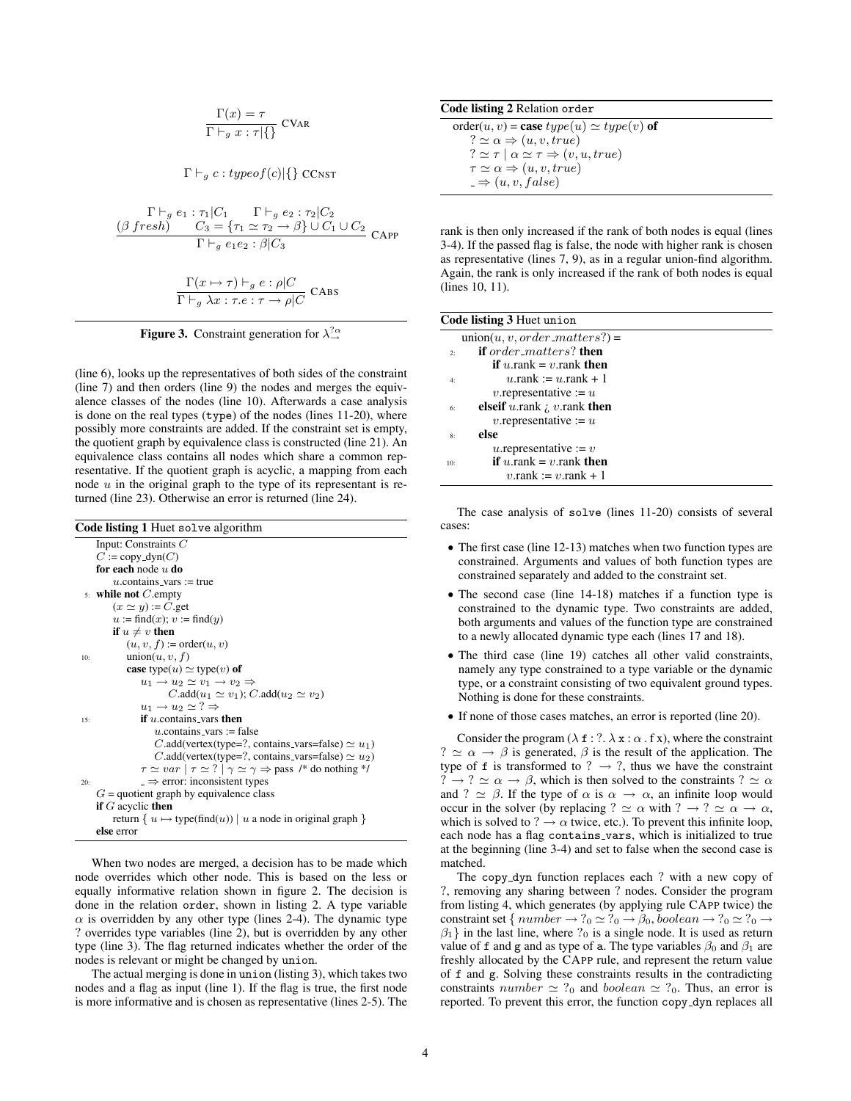$$
\frac{\Gamma(x) = \tau}{\Gamma \vdash_g x : \tau | \{\}}
$$
 CVAR

 $\Gamma \vdash_g c : typeof(c)[\{\} \text{CCNST}$ 

$$
\frac{\Gamma \vdash_g e_1 : \tau_1 | C_1 \qquad \Gamma \vdash_g e_2 : \tau_2 | C_2}{\langle \beta \text{ fresh} \rangle \qquad C_3 = \{ \tau_1 \simeq \tau_2 \rightarrow \beta \} \cup C_1 \cup C_2}
$$
\n
$$
\frac{\Gamma \vdash_g e_1 e_2 : \beta | C_3}{\Gamma \vdash_g e_1 e_2 : \beta | C_3}
$$
\n
$$
\frac{\Gamma(x \mapsto \tau) \vdash_g e : \rho | C}{\Gamma \vdash_g \Gamma}
$$
\nCABS

$$
\Gamma \vdash_g \lambda x : \tau.e : \tau \to \rho | C
$$

**Figure 3.** Constraint generation for  $\lambda \rightarrow 2\infty$ 

(line 6), looks up the representatives of both sides of the constraint (line 7) and then orders (line 9) the nodes and merges the equivalence classes of the nodes (line 10). Afterwards a case analysis is done on the real types  $(type)$  of the nodes (lines 11-20), where possibly more constraints are added. If the constraint set is empty, the quotient graph by equivalence class is constructed (line 21). An equivalence class contains all nodes which share a common representative. If the quotient graph is acyclic, a mapping from each node  $u$  in the original graph to the type of its representant is returned (line 23). Otherwise an error is returned (line 24).

| Code listing 1 Huet solve algorithm                                                                     |  |  |  |
|---------------------------------------------------------------------------------------------------------|--|--|--|
| Input: Constraints $C$                                                                                  |  |  |  |
| $C := \text{copy\_dyn}(C)$                                                                              |  |  |  |
| for each node $u$ do                                                                                    |  |  |  |
| <i>u</i> contains vars := true                                                                          |  |  |  |
| $s$ : while not <i>C</i> .empty                                                                         |  |  |  |
| $(x \simeq y) := C$ get                                                                                 |  |  |  |
| $u := \text{find}(x); v := \text{find}(y)$                                                              |  |  |  |
| if $u \neq v$ then                                                                                      |  |  |  |
| $(u, v, f) := \text{order}(u, v)$                                                                       |  |  |  |
| union $(u, v, f)$<br>10:                                                                                |  |  |  |
| case type(u) $\simeq$ type(v) of                                                                        |  |  |  |
| $u_1 \rightarrow u_2 \simeq v_1 \rightarrow v_2 \Rightarrow$                                            |  |  |  |
| $C.\text{add}(u_1 \simeq v_1); C.\text{add}(u_2 \simeq v_2)$                                            |  |  |  |
| $u_1 \rightarrow u_2 \simeq ? \Rightarrow$                                                              |  |  |  |
| if $u$ contains vars then<br>15:                                                                        |  |  |  |
| <i>u</i> contains vars := false                                                                         |  |  |  |
| C.add(vertex(type=?, contains_vars=false) $\simeq u_1$ )                                                |  |  |  |
| C.add(vertex(type=?, contains_vars=false) $\simeq u_2$ )                                                |  |  |  |
| $\tau \simeq var \mid \tau \simeq ? \mid \gamma \simeq \gamma \Rightarrow \text{pass}$ /* do nothing */ |  |  |  |
| $\Rightarrow$ error: inconsistent types<br>20:                                                          |  |  |  |
| $G =$ quotient graph by equivalence class                                                               |  |  |  |
| <b>if</b> $G$ acyclic <b>then</b>                                                                       |  |  |  |
| return { $u \mapsto$ type(find(u))   u a node in original graph }                                       |  |  |  |
| else error                                                                                              |  |  |  |

When two nodes are merged, a decision has to be made which node overrides which other node. This is based on the less or equally informative relation shown in figure 2. The decision is done in the relation order, shown in listing 2. A type variable  $\alpha$  is overridden by any other type (lines 2-4). The dynamic type ? overrides type variables (line 2), but is overridden by any other type (line 3). The flag returned indicates whether the order of the nodes is relevant or might be changed by union.

The actual merging is done in union (listing 3), which takes two nodes and a flag as input (line 1). If the flag is true, the first node is more informative and is chosen as representative (lines 2-5). The Code listing 2 Relation order

| order( <i>u</i> , <i>v</i> ) = case $type(u) \simeq type(v)$ of  |
|------------------------------------------------------------------|
| $? \simeq \alpha \Rightarrow (u, v, true)$                       |
| $? \simeq \tau \mid \alpha \simeq \tau \Rightarrow (v, u, true)$ |
| $\tau \simeq \alpha \Rightarrow (u, v, true)$                    |
| $\Rightarrow$ $(u, v, false)$                                    |

rank is then only increased if the rank of both nodes is equal (lines 3-4). If the passed flag is false, the node with higher rank is chosen as representative (lines 7, 9), as in a regular union-find algorithm. Again, the rank is only increased if the rank of both nodes is equal (lines 10, 11).

| Code listing 3 Huet union |                                       |  |  |  |
|---------------------------|---------------------------------------|--|--|--|
|                           | $union(u, v, order\_matters?) =$      |  |  |  |
| 2:                        | <b>if</b> order matters? <b>then</b>  |  |  |  |
|                           | <b>if</b> u rank = v rank <b>then</b> |  |  |  |
| 4:                        | u.rank := $u$ .rank + 1               |  |  |  |
|                           | <i>v</i> . representative $:= u$      |  |  |  |
| 6:                        | elseif $u$ .rank $i$ , $v$ .rank then |  |  |  |
|                           | <i>v</i> . representative $:= u$      |  |  |  |
| 8:                        | else                                  |  |  |  |
|                           | <i>u</i> . representative := $v$      |  |  |  |
| 10:                       | <b>if</b> u rank = v rank <b>then</b> |  |  |  |
|                           | v.rank := v.rank + 1                  |  |  |  |

The case analysis of solve (lines 11-20) consists of several cases:

- The first case (line 12-13) matches when two function types are constrained. Arguments and values of both function types are constrained separately and added to the constraint set.
- The second case (line 14-18) matches if a function type is constrained to the dynamic type. Two constraints are added, both arguments and values of the function type are constrained to a newly allocated dynamic type each (lines 17 and 18).
- The third case (line 19) catches all other valid constraints, namely any type constrained to a type variable or the dynamic type, or a constraint consisting of two equivalent ground types. Nothing is done for these constraints.
- If none of those cases matches, an error is reported (line 20).

Consider the program ( $\lambda$  f : ?.  $\lambda$  x :  $\alpha$  . f x), where the constraint ?  $\alpha \rightarrow \beta$  is generated,  $\beta$  is the result of the application. The type of f is transformed to ?  $\rightarrow$  ?, thus we have the constraint ?  $\rightarrow$  ?  $\simeq \alpha \rightarrow \beta$ , which is then solved to the constraints ?  $\simeq \alpha$ and ?  $\simeq \beta$ . If the type of  $\alpha$  is  $\alpha \to \alpha$ , an infinite loop would occur in the solver (by replacing ?  $\simeq \alpha$  with ?  $\rightarrow$  ?  $\simeq \alpha \rightarrow \alpha$ , which is solved to ?  $\rightarrow \alpha$  twice, etc.). To prevent this infinite loop, each node has a flag contains\_vars, which is initialized to true at the beginning (line 3-4) and set to false when the second case is matched.

The copy dyn function replaces each ? with a new copy of ?, removing any sharing between ? nodes. Consider the program from listing 4, which generates (by applying rule CAPP twice) the constraint set {  $number \rightarrow ?_0 \simeq ?_0 \rightarrow \beta_0$ , boolean  $\rightarrow ?_0 \simeq ?_0 \rightarrow$  $\beta_1$ } in the last line, where ?<sub>0</sub> is a single node. It is used as return value of f and g and as type of a. The type variables  $\beta_0$  and  $\beta_1$  are freshly allocated by the CAPP rule, and represent the return value of f and g. Solving these constraints results in the contradicting constraints *number*  $\simeq ?_0$  and *boolean*  $\simeq ?_0$ . Thus, an error is reported. To prevent this error, the function copy\_dyn replaces all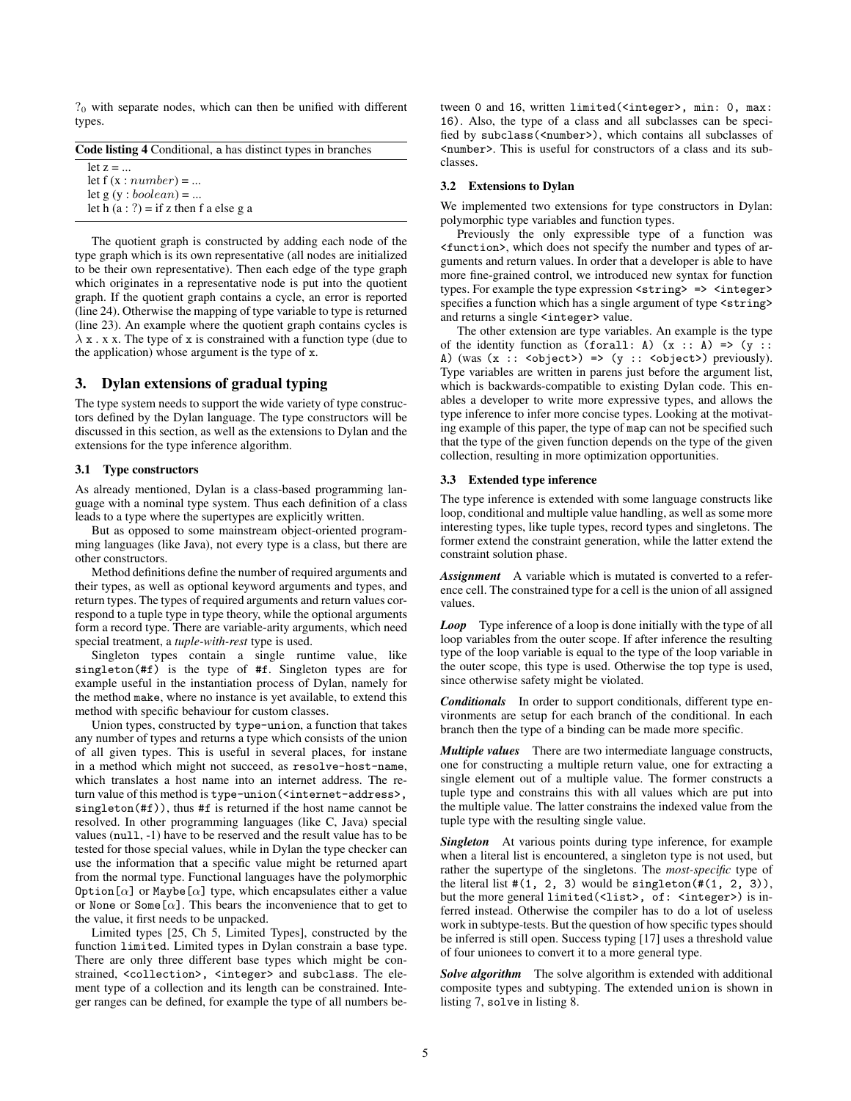$?<sub>0</sub>$  with separate nodes, which can then be unified with different types.

| <b>Code listing 4 Conditional, a has distinct types in branches</b> |
|---------------------------------------------------------------------|
| $let z = $                                                          |
| let $f(x: number) = $                                               |
| let $g(y:boolean) = $                                               |
| let $h(a:?) = if z then f a else g a$                               |

The quotient graph is constructed by adding each node of the type graph which is its own representative (all nodes are initialized to be their own representative). Then each edge of the type graph which originates in a representative node is put into the quotient graph. If the quotient graph contains a cycle, an error is reported (line 24). Otherwise the mapping of type variable to type is returned (line 23). An example where the quotient graph contains cycles is  $\lambda$  x . x x. The type of x is constrained with a function type (due to the application) whose argument is the type of x.

# 3. Dylan extensions of gradual typing

The type system needs to support the wide variety of type constructors defined by the Dylan language. The type constructors will be discussed in this section, as well as the extensions to Dylan and the extensions for the type inference algorithm.

#### 3.1 Type constructors

As already mentioned, Dylan is a class-based programming language with a nominal type system. Thus each definition of a class leads to a type where the supertypes are explicitly written.

But as opposed to some mainstream object-oriented programming languages (like Java), not every type is a class, but there are other constructors.

Method definitions define the number of required arguments and their types, as well as optional keyword arguments and types, and return types. The types of required arguments and return values correspond to a tuple type in type theory, while the optional arguments form a record type. There are variable-arity arguments, which need special treatment, a *tuple-with-rest* type is used.

Singleton types contain a single runtime value, like singleton(#f) is the type of #f. Singleton types are for example useful in the instantiation process of Dylan, namely for the method make, where no instance is yet available, to extend this method with specific behaviour for custom classes.

Union types, constructed by type-union, a function that takes any number of types and returns a type which consists of the union of all given types. This is useful in several places, for instane in a method which might not succeed, as resolve-host-name, which translates a host name into an internet address. The return value of this method is type-union(<internet-address>, singleton(#f)), thus #f is returned if the host name cannot be resolved. In other programming languages (like C, Java) special values (null, -1) have to be reserved and the result value has to be tested for those special values, while in Dylan the type checker can use the information that a specific value might be returned apart from the normal type. Functional languages have the polymorphic Option[ $\alpha$ ] or Maybe[ $\alpha$ ] type, which encapsulates either a value or None or Some  $[\alpha]$ . This bears the inconvenience that to get to the value, it first needs to be unpacked.

Limited types [25, Ch 5, Limited Types], constructed by the function limited. Limited types in Dylan constrain a base type. There are only three different base types which might be constrained, <collection>, <integer> and subclass. The element type of a collection and its length can be constrained. Integer ranges can be defined, for example the type of all numbers between 0 and 16, written limited(<integer>, min: 0, max: 16). Also, the type of a class and all subclasses can be specified by subclass(<number>), which contains all subclasses of <number>. This is useful for constructors of a class and its subclasses.

#### 3.2 Extensions to Dylan

We implemented two extensions for type constructors in Dylan: polymorphic type variables and function types.

Previously the only expressible type of a function was <function>, which does not specify the number and types of arguments and return values. In order that a developer is able to have more fine-grained control, we introduced new syntax for function types. For example the type expression <string> => <integer> specifies a function which has a single argument of type <string> and returns a single <integer> value.

The other extension are type variables. An example is the type of the identity function as  $for all: A$   $(x :: A) \Rightarrow (y ::$ A) (was  $(x : : <sub>object</sub>) \implies (y : : <sub>object</sub>)$  previously). Type variables are written in parens just before the argument list, which is backwards-compatible to existing Dylan code. This enables a developer to write more expressive types, and allows the type inference to infer more concise types. Looking at the motivating example of this paper, the type of map can not be specified such that the type of the given function depends on the type of the given collection, resulting in more optimization opportunities.

### 3.3 Extended type inference

The type inference is extended with some language constructs like loop, conditional and multiple value handling, as well as some more interesting types, like tuple types, record types and singletons. The former extend the constraint generation, while the latter extend the constraint solution phase.

*Assignment* A variable which is mutated is converted to a reference cell. The constrained type for a cell is the union of all assigned values.

*Loop* Type inference of a loop is done initially with the type of all loop variables from the outer scope. If after inference the resulting type of the loop variable is equal to the type of the loop variable in the outer scope, this type is used. Otherwise the top type is used, since otherwise safety might be violated.

*Conditionals* In order to support conditionals, different type environments are setup for each branch of the conditional. In each branch then the type of a binding can be made more specific.

*Multiple values* There are two intermediate language constructs, one for constructing a multiple return value, one for extracting a single element out of a multiple value. The former constructs a tuple type and constrains this with all values which are put into the multiple value. The latter constrains the indexed value from the tuple type with the resulting single value.

*Singleton* At various points during type inference, for example when a literal list is encountered, a singleton type is not used, but rather the supertype of the singletons. The *most-specific* type of the literal list  $\#(1, 2, 3)$  would be singleton( $\#(1, 2, 3)$ ), but the more general limited(<list>, of: <integer>) is inferred instead. Otherwise the compiler has to do a lot of useless work in subtype-tests. But the question of how specific types should be inferred is still open. Success typing [17] uses a threshold value of four unionees to convert it to a more general type.

*Solve algorithm* The solve algorithm is extended with additional composite types and subtyping. The extended union is shown in listing 7, solve in listing 8.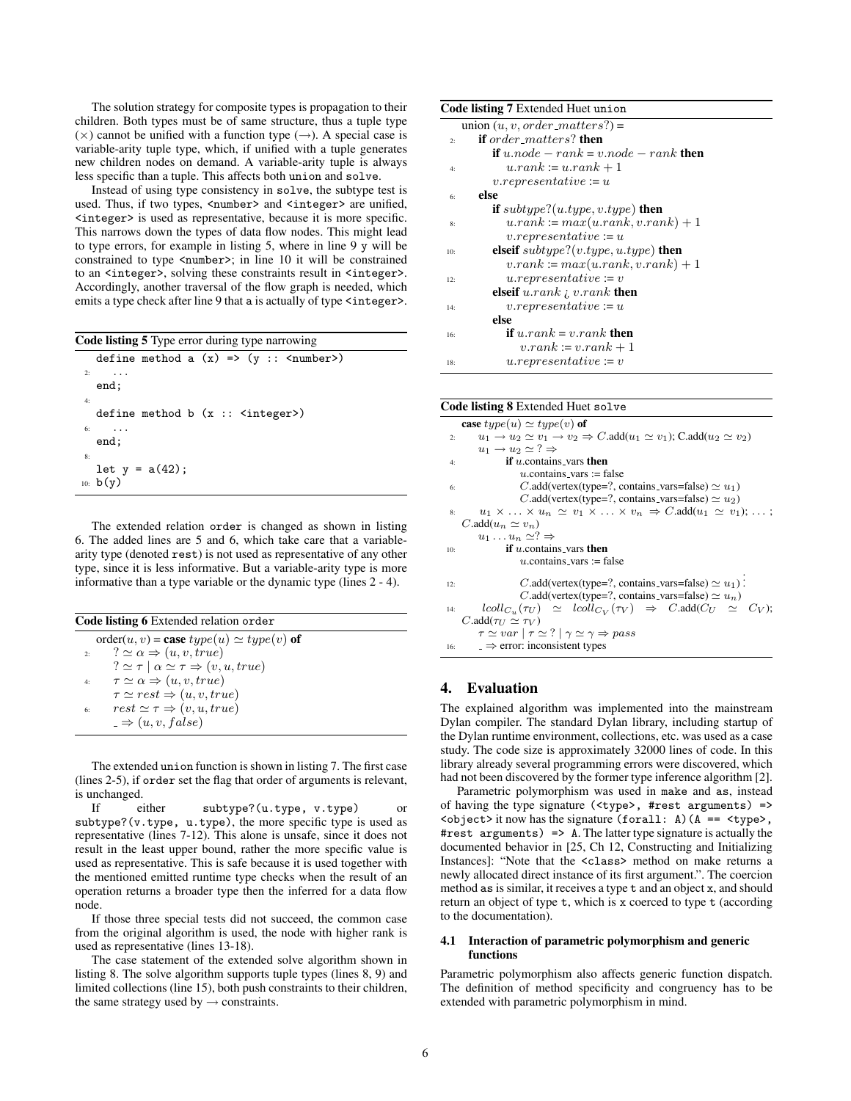The solution strategy for composite types is propagation to their children. Both types must be of same structure, thus a tuple type  $(\times)$  cannot be unified with a function type  $(\rightarrow)$ . A special case is variable-arity tuple type, which, if unified with a tuple generates new children nodes on demand. A variable-arity tuple is always less specific than a tuple. This affects both union and solve.

Instead of using type consistency in solve, the subtype test is used. Thus, if two types, <number> and <integer> are unified, <integer> is used as representative, because it is more specific. This narrows down the types of data flow nodes. This might lead to type errors, for example in listing 5, where in line 9 y will be constrained to type <number>; in line 10 it will be constrained to an <integer>, solving these constraints result in <integer>. Accordingly, another traversal of the flow graph is needed, which emits a type check after line 9 that a is actually of type <integer>.

|    |            | <b>Code listing 5</b> Type error during type narrowing  |  |  |                                                                 |
|----|------------|---------------------------------------------------------|--|--|-----------------------------------------------------------------|
|    |            |                                                         |  |  | define method a $(x) \Rightarrow (y :: \langle number \rangle)$ |
| 2: | end;       |                                                         |  |  |                                                                 |
| 4: |            |                                                         |  |  |                                                                 |
|    |            | define method $b(x : : \langle \text{integer} \rangle)$ |  |  |                                                                 |
| 6: |            |                                                         |  |  |                                                                 |
|    | end;       |                                                         |  |  |                                                                 |
| 8: |            |                                                         |  |  |                                                                 |
|    |            | let $y = a(42)$ ;                                       |  |  |                                                                 |
|    | 10: $b(y)$ |                                                         |  |  |                                                                 |

The extended relation order is changed as shown in listing 6. The added lines are 5 and 6, which take care that a variablearity type (denoted rest) is not used as representative of any other type, since it is less informative. But a variable-arity type is more informative than a type variable or the dynamic type (lines 2 - 4).

|    | Code listing 6 Extended relation order                           |  |  |  |  |
|----|------------------------------------------------------------------|--|--|--|--|
|    | order( <i>u</i> , <i>v</i> ) = case $type(u) \simeq type(v)$ of  |  |  |  |  |
|    | $? \simeq \alpha \Rightarrow (u, v, true)$<br>2:                 |  |  |  |  |
|    | $? \simeq \tau \mid \alpha \simeq \tau \Rightarrow (v, u, true)$ |  |  |  |  |
| 4: | $\tau \simeq \alpha \Rightarrow (u, v, true)$                    |  |  |  |  |
|    | $\tau \simeq rest \Rightarrow (u, v, true)$                      |  |  |  |  |
| 6: | $rest \simeq \tau \Rightarrow (v, u, true)$                      |  |  |  |  |
|    | $\Rightarrow$ $(u, v, false)$                                    |  |  |  |  |
|    |                                                                  |  |  |  |  |

The extended union function is shown in listing 7. The first case (lines 2-5), if order set the flag that order of arguments is relevant, is unchanged.

If either subtype?(u.type, v.type) or subtype?(v.type, u.type), the more specific type is used as representative (lines 7-12). This alone is unsafe, since it does not result in the least upper bound, rather the more specific value is used as representative. This is safe because it is used together with the mentioned emitted runtime type checks when the result of an operation returns a broader type then the inferred for a data flow node.

If those three special tests did not succeed, the common case from the original algorithm is used, the node with higher rank is used as representative (lines 13-18).

The case statement of the extended solve algorithm shown in listing 8. The solve algorithm supports tuple types (lines 8, 9) and limited collections (line 15), both push constraints to their children, the same strategy used by  $\rightarrow$  constraints.

|     | <b>Code listing 7</b> Extended Huet union          |  |  |  |  |
|-----|----------------------------------------------------|--|--|--|--|
|     | union $(u, v, order\_matters?) =$                  |  |  |  |  |
| 2:  | <b>if</b> order_matters? <b>then</b>               |  |  |  |  |
|     | if $u$ .node – rank = v.node – rank then           |  |  |  |  |
| 4:  | $u\cdot rank := u\cdot rank + 1$                   |  |  |  |  |
|     | $v$ .representative := u                           |  |  |  |  |
| 6:  | else                                               |  |  |  |  |
|     | if subtype?(u.type, v.type) then                   |  |  |  |  |
| 8:  | $u\cdot rank := max(u\cdot rank, v\cdot rank) + 1$ |  |  |  |  |
|     | $v$ .representative := $u$                         |  |  |  |  |
| 10: | elseif subtype?(v.type, u.type) then               |  |  |  |  |
|     | $v\cdot rank := max(u\cdot rank, v\cdot rank) + 1$ |  |  |  |  |
| 12: | $u$ .representative := v                           |  |  |  |  |
|     | elseif $u\cdot rank\, i\, v\cdot rank$ then        |  |  |  |  |
| 14: | $v$ .representative := $u$                         |  |  |  |  |
|     | else                                               |  |  |  |  |
| 16: | if $u, rank = v, rank$ then                        |  |  |  |  |
|     | $v\cdot rank := v\cdot rank + 1$                   |  |  |  |  |
| 18: | $u$ .representative := v                           |  |  |  |  |

|     | Code listing 8 Extended Huet solve                                                                                         |
|-----|----------------------------------------------------------------------------------------------------------------------------|
|     | case $type(u) \simeq type(v)$ of                                                                                           |
| 2:  | $u_1 \rightarrow u_2 \simeq v_1 \rightarrow v_2 \Rightarrow C$ .add $(u_1 \simeq v_1)$ ; C.add $(u_2 \simeq v_2)$          |
|     | $u_1 \rightarrow u_2 \simeq ? \Rightarrow$                                                                                 |
| 4:  | <b>if</b> $u$ contains vars then                                                                                           |
|     | u contains vars := false                                                                                                   |
| 6:  | C.add(vertex(type=?, contains_vars=false) $\simeq u_1$ )                                                                   |
|     | C.add(vertex(type=?, contains_vars=false) $\simeq u_2$ )                                                                   |
| 8:  | $u_1 \times \ldots \times u_n \simeq v_1 \times \ldots \times v_n \Rightarrow C \cdot \text{add}(u_1 \simeq v_1); \ldots;$ |
|     | $C.\text{add}(u_n \simeq v_n)$                                                                                             |
|     | $u_1 \ldots u_n \simeq ? \Rightarrow$                                                                                      |
| 10: | <b>if</b> $u$ contains vars then                                                                                           |
|     | u.contains_vars := false                                                                                                   |
| 12: | C.add(vertex(type=?, contains_vars=false) $\simeq u_1$ ):                                                                  |
|     | C.add(vertex(type=?, contains_vars=false) $\simeq u_n$ )                                                                   |
| 14: | $lcoll_{C_{\nu}}(\tau_U) \simeq \text{ } lcoll_{C_V}(\tau_V) \Rightarrow \text{ } C.\text{add}(C_U \simeq C_V);$           |
|     | $C$ .add $(\tau_{II} \simeq \tau_V)$                                                                                       |
|     | $\tau \simeq var \mid \tau \simeq ? \mid \gamma \simeq \gamma \Rightarrow pass$                                            |
| 16: | $\Rightarrow$ error: inconsistent types                                                                                    |

# 4. Evaluation

The explained algorithm was implemented into the mainstream Dylan compiler. The standard Dylan library, including startup of the Dylan runtime environment, collections, etc. was used as a case study. The code size is approximately 32000 lines of code. In this library already several programming errors were discovered, which had not been discovered by the former type inference algorithm [2].

Parametric polymorphism was used in make and as, instead of having the type signature (<type>, #rest arguments) =>  $\langle \text{object} \rangle$  it now has the signature (forall: A) (A ==  $\langle \text{type} \rangle$ , #rest arguments) => A. The latter type signature is actually the documented behavior in [25, Ch 12, Constructing and Initializing Instances]: "Note that the <class> method on make returns a newly allocated direct instance of its first argument.". The coercion method as is similar, it receives a type t and an object x, and should return an object of type t, which is x coerced to type t (according to the documentation).

### 4.1 Interaction of parametric polymorphism and generic functions

Parametric polymorphism also affects generic function dispatch. The definition of method specificity and congruency has to be extended with parametric polymorphism in mind.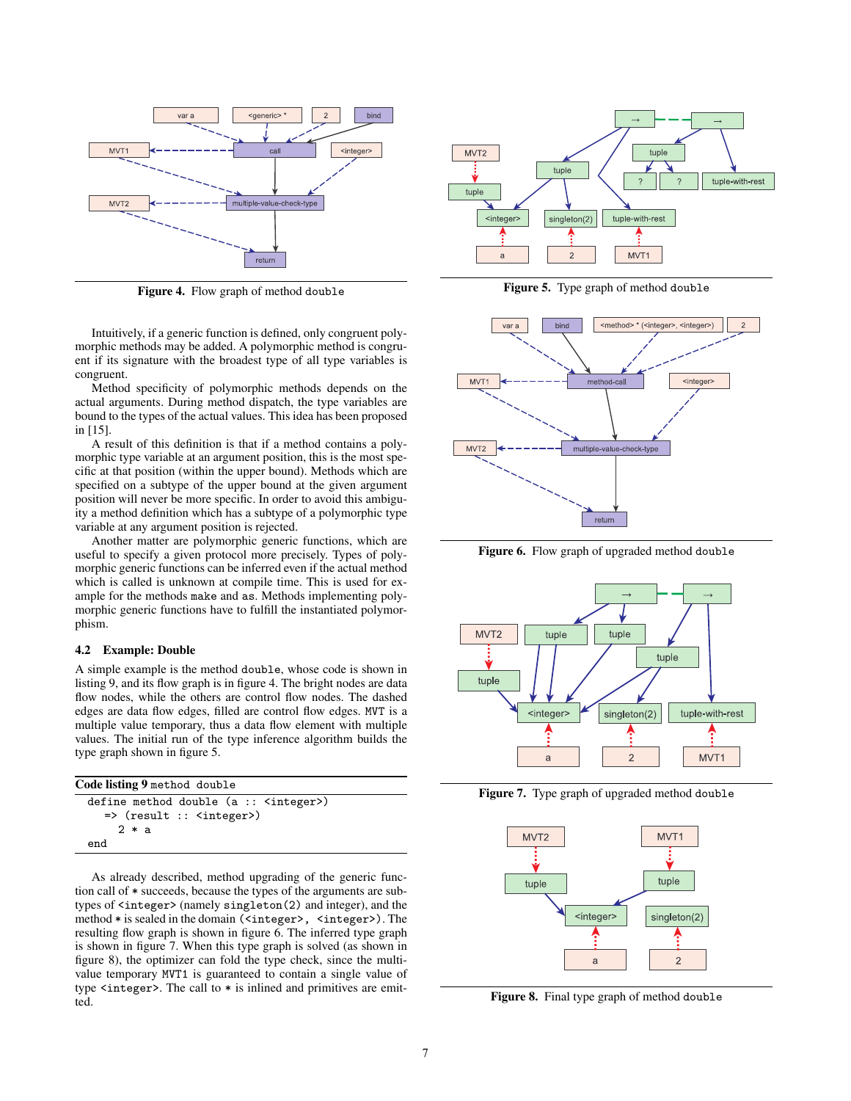

Figure 4. Flow graph of method double

Intuitively, if a generic function is defined, only congruent polymorphic methods may be added. A polymorphic method is congruent if its signature with the broadest type of all type variables is congruent.

Method specificity of polymorphic methods depends on the actual arguments. During method dispatch, the type variables are bound to the types of the actual values. This idea has been proposed in [15].

A result of this definition is that if a method contains a polymorphic type variable at an argument position, this is the most specific at that position (within the upper bound). Methods which are specified on a subtype of the upper bound at the given argument position will never be more specific. In order to avoid this ambiguity a method definition which has a subtype of a polymorphic type variable at any argument position is rejected.

Another matter are polymorphic generic functions, which are useful to specify a given protocol more precisely. Types of polymorphic generic functions can be inferred even if the actual method which is called is unknown at compile time. This is used for example for the methods make and as. Methods implementing polymorphic generic functions have to fulfill the instantiated polymorphism.

# 4.2 Example: Double

A simple example is the method double, whose code is shown in listing 9, and its flow graph is in figure 4. The bright nodes are data flow nodes, while the others are control flow nodes. The dashed edges are data flow edges, filled are control flow edges. MVT is a multiple value temporary, thus a data flow element with multiple values. The initial run of the type inference algorithm builds the type graph shown in figure 5.

| Code listing 9 method double                                                                                                          |  |
|---------------------------------------------------------------------------------------------------------------------------------------|--|
| define method double $(a : : \langle \text{integer} \rangle)$<br>$\Rightarrow$ (result :: <integer>)<br/><math>2 * a</math></integer> |  |
| end                                                                                                                                   |  |

As already described, method upgrading of the generic function call of \* succeeds, because the types of the arguments are subtypes of <integer> (namely singleton(2) and integer), and the method \* is sealed in the domain (<integer>, <integer>). The resulting flow graph is shown in figure 6. The inferred type graph is shown in figure 7. When this type graph is solved (as shown in figure 8), the optimizer can fold the type check, since the multivalue temporary MVT1 is guaranteed to contain a single value of type  $\langle$  integer>. The call to  $*$  is inlined and primitives are emitted.



Figure 5. Type graph of method double



Figure 6. Flow graph of upgraded method double



Figure 7. Type graph of upgraded method double



Figure 8. Final type graph of method double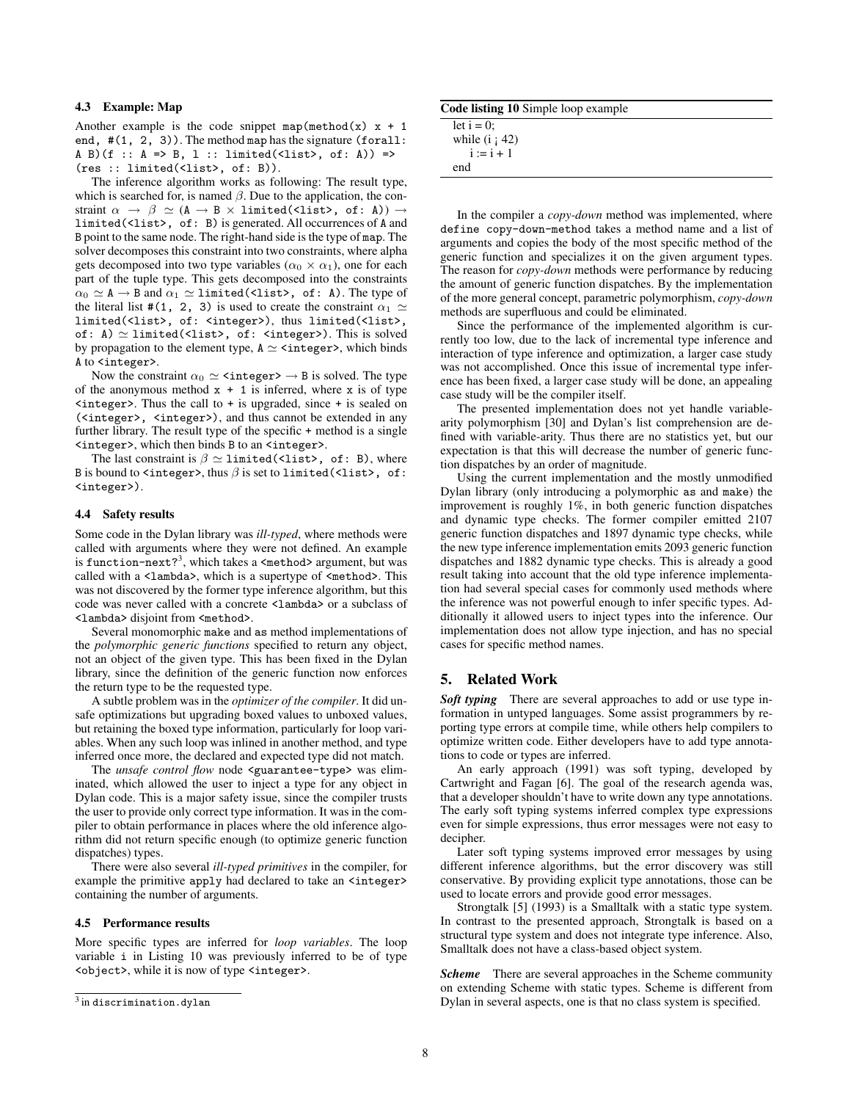### 4.3 Example: Map

Another example is the code snippet map(method(x)  $x + 1$ end,  $\#(1, 2, 3)$ . The method map has the signature (forall: A B)(f ::  $A \Rightarrow B$ , 1 :: limited(<list>, of: A)) => (res :: limited(<list>, of: B)).

The inference algorithm works as following: The result type, which is searched for, is named  $\beta$ . Due to the application, the constraint  $\alpha \rightarrow \beta \simeq (A \rightarrow B \times 1)$  imited(<list>, of: A))  $\rightarrow$ limited(<list>, of: B) is generated. All occurrences of A and B point to the same node. The right-hand side is the type of map. The solver decomposes this constraint into two constraints, where alpha gets decomposed into two type variables ( $\alpha_0 \times \alpha_1$ ), one for each part of the tuple type. This gets decomposed into the constraints  $\alpha_0 \simeq A \rightarrow B$  and  $\alpha_1 \simeq$  limited(<list>, of: A). The type of the literal list #(1, 2, 3) is used to create the constraint  $\alpha_1 \simeq$ limited(<list>, of: <integer>), thus limited(<list>, of: A)  $\simeq$  limited(<list>, of: <integer>). This is solved by propagation to the element type,  $A \simeq \text{Cinteger}$ , which binds A to <integer>.

Now the constraint  $\alpha_0 \simeq \text{Cinteger3} \rightarrow \text{B}$  is solved. The type of the anonymous method  $x + 1$  is inferred, where x is of type  $\langle$ integer>. Thus the call to + is upgraded, since + is sealed on (<integer>, <integer>), and thus cannot be extended in any further library. The result type of the specific + method is a single <integer>, which then binds B to an <integer>.

The last constraint is  $\beta \simeq 1$  imited(<list>, of: B), where B is bound to <integer>, thus  $\beta$  is set to limited(<list>, of: <integer>).

### 4.4 Safety results

Some code in the Dylan library was *ill-typed*, where methods were called with arguments where they were not defined. An example is function-next?<sup>3</sup>, which takes a <method> argument, but was called with a <lambda>, which is a supertype of <method>. This was not discovered by the former type inference algorithm, but this code was never called with a concrete <lambda> or a subclass of <lambda> disjoint from <method>.

Several monomorphic make and as method implementations of the *polymorphic generic functions* specified to return any object, not an object of the given type. This has been fixed in the Dylan library, since the definition of the generic function now enforces the return type to be the requested type.

A subtle problem was in the *optimizer of the compiler*. It did unsafe optimizations but upgrading boxed values to unboxed values, but retaining the boxed type information, particularly for loop variables. When any such loop was inlined in another method, and type inferred once more, the declared and expected type did not match.

The *unsafe control flow* node <guarantee-type> was eliminated, which allowed the user to inject a type for any object in Dylan code. This is a major safety issue, since the compiler trusts the user to provide only correct type information. It was in the compiler to obtain performance in places where the old inference algorithm did not return specific enough (to optimize generic function dispatches) types.

There were also several *ill-typed primitives* in the compiler, for example the primitive apply had declared to take an  $\langle$ integer> containing the number of arguments.

### 4.5 Performance results

More specific types are inferred for *loop variables*. The loop variable i in Listing 10 was previously inferred to be of type <object>, while it is now of type <integer>.

| <b>Code listing 10</b> Simple loop example |  |
|--------------------------------------------|--|
| let $i = 0$ ;                              |  |
| while $(i; 42)$                            |  |
| $i := i + 1$                               |  |
| end                                        |  |

In the compiler a *copy-down* method was implemented, where define copy-down-method takes a method name and a list of arguments and copies the body of the most specific method of the generic function and specializes it on the given argument types. The reason for *copy-down* methods were performance by reducing the amount of generic function dispatches. By the implementation of the more general concept, parametric polymorphism, *copy-down* methods are superfluous and could be eliminated.

Since the performance of the implemented algorithm is currently too low, due to the lack of incremental type inference and interaction of type inference and optimization, a larger case study was not accomplished. Once this issue of incremental type inference has been fixed, a larger case study will be done, an appealing case study will be the compiler itself.

The presented implementation does not yet handle variablearity polymorphism [30] and Dylan's list comprehension are defined with variable-arity. Thus there are no statistics yet, but our expectation is that this will decrease the number of generic function dispatches by an order of magnitude.

Using the current implementation and the mostly unmodified Dylan library (only introducing a polymorphic as and make) the improvement is roughly 1%, in both generic function dispatches and dynamic type checks. The former compiler emitted 2107 generic function dispatches and 1897 dynamic type checks, while the new type inference implementation emits 2093 generic function dispatches and 1882 dynamic type checks. This is already a good result taking into account that the old type inference implementation had several special cases for commonly used methods where the inference was not powerful enough to infer specific types. Additionally it allowed users to inject types into the inference. Our implementation does not allow type injection, and has no special cases for specific method names.

# 5. Related Work

*Soft typing* There are several approaches to add or use type information in untyped languages. Some assist programmers by reporting type errors at compile time, while others help compilers to optimize written code. Either developers have to add type annotations to code or types are inferred.

An early approach (1991) was soft typing, developed by Cartwright and Fagan [6]. The goal of the research agenda was, that a developer shouldn't have to write down any type annotations. The early soft typing systems inferred complex type expressions even for simple expressions, thus error messages were not easy to decipher.

Later soft typing systems improved error messages by using different inference algorithms, but the error discovery was still conservative. By providing explicit type annotations, those can be used to locate errors and provide good error messages.

Strongtalk [5] (1993) is a Smalltalk with a static type system. In contrast to the presented approach, Strongtalk is based on a structural type system and does not integrate type inference. Also, Smalltalk does not have a class-based object system.

*Scheme* There are several approaches in the Scheme community on extending Scheme with static types. Scheme is different from Dylan in several aspects, one is that no class system is specified.

 $^3$  in discrimination.dylan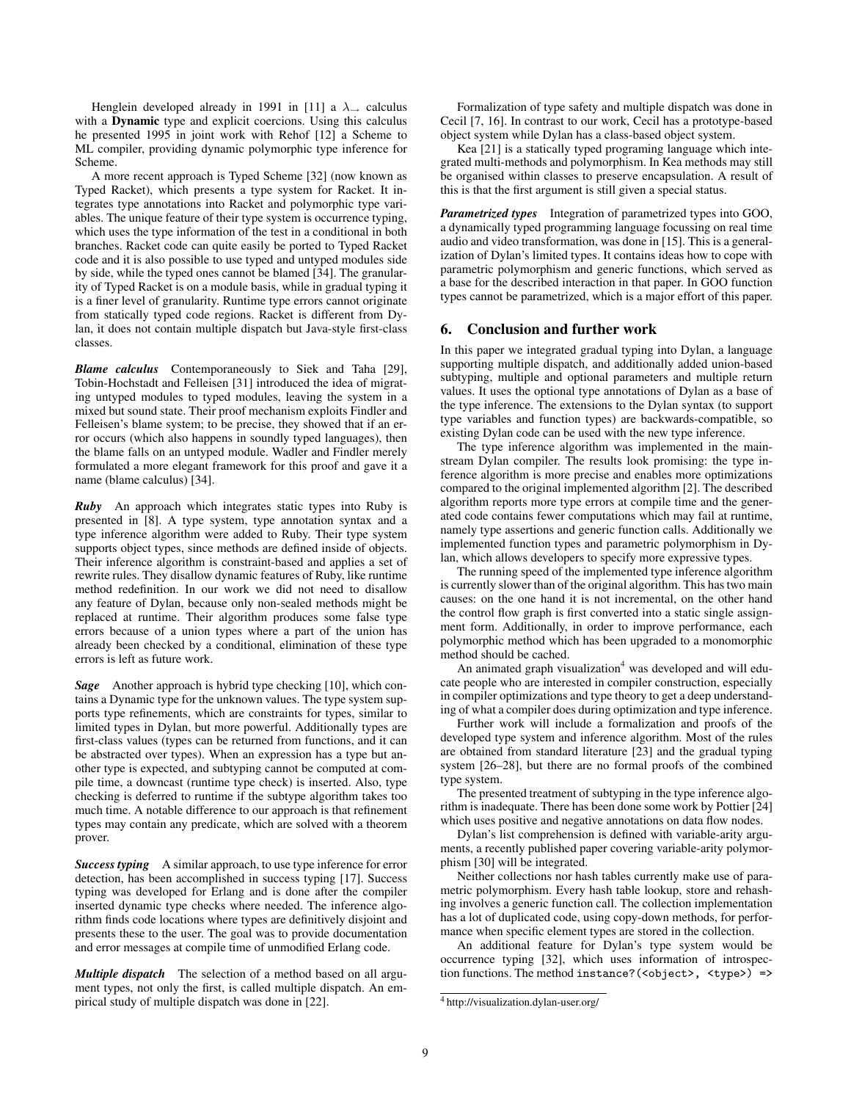Henglein developed already in 1991 in [11] a  $\lambda$  calculus with a **Dynamic** type and explicit coercions. Using this calculus he presented 1995 in joint work with Rehof [12] a Scheme to ML compiler, providing dynamic polymorphic type inference for Scheme.

A more recent approach is Typed Scheme [32] (now known as Typed Racket), which presents a type system for Racket. It integrates type annotations into Racket and polymorphic type variables. The unique feature of their type system is occurrence typing, which uses the type information of the test in a conditional in both branches. Racket code can quite easily be ported to Typed Racket code and it is also possible to use typed and untyped modules side by side, while the typed ones cannot be blamed [34]. The granularity of Typed Racket is on a module basis, while in gradual typing it is a finer level of granularity. Runtime type errors cannot originate from statically typed code regions. Racket is different from Dylan, it does not contain multiple dispatch but Java-style first-class classes.

*Blame calculus* Contemporaneously to Siek and Taha [29], Tobin-Hochstadt and Felleisen [31] introduced the idea of migrating untyped modules to typed modules, leaving the system in a mixed but sound state. Their proof mechanism exploits Findler and Felleisen's blame system; to be precise, they showed that if an error occurs (which also happens in soundly typed languages), then the blame falls on an untyped module. Wadler and Findler merely formulated a more elegant framework for this proof and gave it a name (blame calculus) [34].

*Ruby* An approach which integrates static types into Ruby is presented in [8]. A type system, type annotation syntax and a type inference algorithm were added to Ruby. Their type system supports object types, since methods are defined inside of objects. Their inference algorithm is constraint-based and applies a set of rewrite rules. They disallow dynamic features of Ruby, like runtime method redefinition. In our work we did not need to disallow any feature of Dylan, because only non-sealed methods might be replaced at runtime. Their algorithm produces some false type errors because of a union types where a part of the union has already been checked by a conditional, elimination of these type errors is left as future work.

*Sage* Another approach is hybrid type checking [10], which contains a Dynamic type for the unknown values. The type system supports type refinements, which are constraints for types, similar to limited types in Dylan, but more powerful. Additionally types are first-class values (types can be returned from functions, and it can be abstracted over types). When an expression has a type but another type is expected, and subtyping cannot be computed at compile time, a downcast (runtime type check) is inserted. Also, type checking is deferred to runtime if the subtype algorithm takes too much time. A notable difference to our approach is that refinement types may contain any predicate, which are solved with a theorem prover.

*Success typing* A similar approach, to use type inference for error detection, has been accomplished in success typing [17]. Success typing was developed for Erlang and is done after the compiler inserted dynamic type checks where needed. The inference algorithm finds code locations where types are definitively disjoint and presents these to the user. The goal was to provide documentation and error messages at compile time of unmodified Erlang code.

*Multiple dispatch* The selection of a method based on all argument types, not only the first, is called multiple dispatch. An empirical study of multiple dispatch was done in [22].

Formalization of type safety and multiple dispatch was done in Cecil [7, 16]. In contrast to our work, Cecil has a prototype-based object system while Dylan has a class-based object system.

Kea [21] is a statically typed programing language which integrated multi-methods and polymorphism. In Kea methods may still be organised within classes to preserve encapsulation. A result of this is that the first argument is still given a special status.

*Parametrized types* Integration of parametrized types into GOO, a dynamically typed programming language focussing on real time audio and video transformation, was done in [15]. This is a generalization of Dylan's limited types. It contains ideas how to cope with parametric polymorphism and generic functions, which served as a base for the described interaction in that paper. In GOO function types cannot be parametrized, which is a major effort of this paper.

# 6. Conclusion and further work

In this paper we integrated gradual typing into Dylan, a language supporting multiple dispatch, and additionally added union-based subtyping, multiple and optional parameters and multiple return values. It uses the optional type annotations of Dylan as a base of the type inference. The extensions to the Dylan syntax (to support type variables and function types) are backwards-compatible, so existing Dylan code can be used with the new type inference.

The type inference algorithm was implemented in the mainstream Dylan compiler. The results look promising: the type inference algorithm is more precise and enables more optimizations compared to the original implemented algorithm [2]. The described algorithm reports more type errors at compile time and the generated code contains fewer computations which may fail at runtime, namely type assertions and generic function calls. Additionally we implemented function types and parametric polymorphism in Dylan, which allows developers to specify more expressive types.

The running speed of the implemented type inference algorithm is currently slower than of the original algorithm. This has two main causes: on the one hand it is not incremental, on the other hand the control flow graph is first converted into a static single assignment form. Additionally, in order to improve performance, each polymorphic method which has been upgraded to a monomorphic method should be cached.

An animated graph visualization<sup>4</sup> was developed and will educate people who are interested in compiler construction, especially in compiler optimizations and type theory to get a deep understanding of what a compiler does during optimization and type inference.

Further work will include a formalization and proofs of the developed type system and inference algorithm. Most of the rules are obtained from standard literature [23] and the gradual typing system [26–28], but there are no formal proofs of the combined type system.

The presented treatment of subtyping in the type inference algorithm is inadequate. There has been done some work by Pottier [24] which uses positive and negative annotations on data flow nodes.

Dylan's list comprehension is defined with variable-arity arguments, a recently published paper covering variable-arity polymorphism [30] will be integrated.

Neither collections nor hash tables currently make use of parametric polymorphism. Every hash table lookup, store and rehashing involves a generic function call. The collection implementation has a lot of duplicated code, using copy-down methods, for performance when specific element types are stored in the collection.

An additional feature for Dylan's type system would be occurrence typing [32], which uses information of introspection functions. The method instance? (<object>, <type>) =>

<sup>4</sup> http://visualization.dylan-user.org/